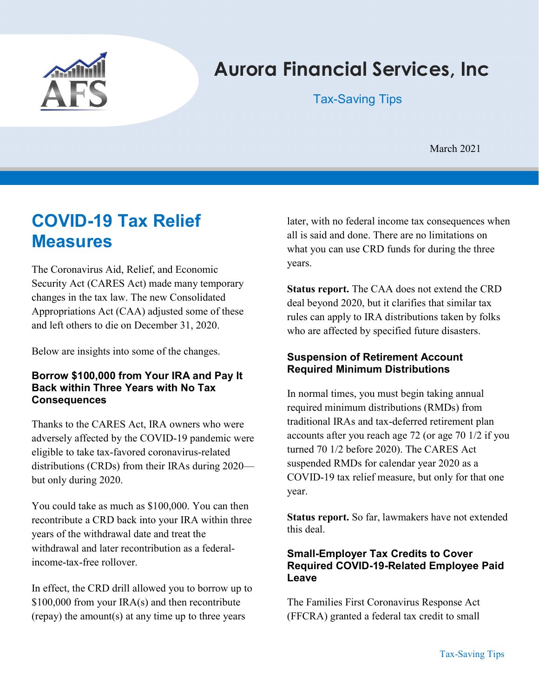

# Aurora Financial Services, Inc

Tax-Saving Tips

March 2021

## COVID-19 Tax Relief **Measures**

The Coronavirus Aid, Relief, and Economic Security Act (CARES Act) made many temporary changes in the tax law. The new Consolidated Appropriations Act (CAA) adjusted some of these and left others to die on December 31, 2020.

Below are insights into some of the changes.

#### Borrow \$100,000 from Your IRA and Pay It Back within Three Years with No Tax **Consequences**

Thanks to the CARES Act, IRA owners who were adversely affected by the COVID-19 pandemic were eligible to take tax-favored coronavirus-related distributions (CRDs) from their IRAs during 2020 but only during 2020.

You could take as much as \$100,000. You can then recontribute a CRD back into your IRA within three years of the withdrawal date and treat the withdrawal and later recontribution as a federalincome-tax-free rollover.

In effect, the CRD drill allowed you to borrow up to \$100,000 from your IRA(s) and then recontribute (repay) the amount(s) at any time up to three years

later, with no federal income tax consequences when all is said and done. There are no limitations on what you can use CRD funds for during the three years.

Status report. The CAA does not extend the CRD deal beyond 2020, but it clarifies that similar tax rules can apply to IRA distributions taken by folks who are affected by specified future disasters.

#### Suspension of Retirement Account Required Minimum Distributions

In normal times, you must begin taking annual required minimum distributions (RMDs) from traditional IRAs and tax-deferred retirement plan accounts after you reach age 72 (or age 70 1/2 if you turned 70 1/2 before 2020). The CARES Act suspended RMDs for calendar year 2020 as a COVID-19 tax relief measure, but only for that one year.

Status report. So far, lawmakers have not extended this deal.

#### Small-Employer Tax Credits to Cover Required COVID-19-Related Employee Paid Leave

The Families First Coronavirus Response Act (FFCRA) granted a federal tax credit to small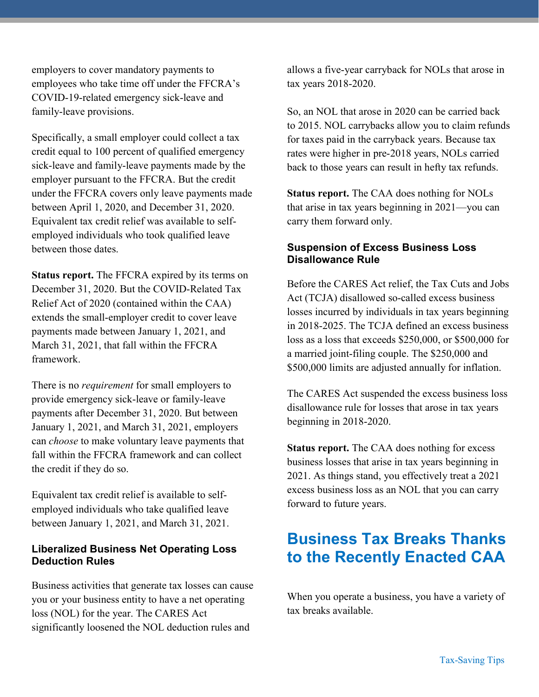employers to cover mandatory payments to employees who take time off under the FFCRA's COVID-19-related emergency sick-leave and family-leave provisions.

Specifically, a small employer could collect a tax credit equal to 100 percent of qualified emergency sick-leave and family-leave payments made by the employer pursuant to the FFCRA. But the credit under the FFCRA covers only leave payments made between April 1, 2020, and December 31, 2020. Equivalent tax credit relief was available to selfemployed individuals who took qualified leave between those dates.

Status report. The FFCRA expired by its terms on December 31, 2020. But the COVID-Related Tax Relief Act of 2020 (contained within the CAA) extends the small-employer credit to cover leave payments made between January 1, 2021, and March 31, 2021, that fall within the FFCRA framework.

There is no *requirement* for small employers to provide emergency sick-leave or family-leave payments after December 31, 2020. But between January 1, 2021, and March 31, 2021, employers can choose to make voluntary leave payments that fall within the FFCRA framework and can collect the credit if they do so.

Equivalent tax credit relief is available to selfemployed individuals who take qualified leave between January 1, 2021, and March 31, 2021.

#### Liberalized Business Net Operating Loss Deduction Rules

Business activities that generate tax losses can cause you or your business entity to have a net operating loss (NOL) for the year. The CARES Act significantly loosened the NOL deduction rules and

allows a five-year carryback for NOLs that arose in tax years 2018-2020.

So, an NOL that arose in 2020 can be carried back to 2015. NOL carrybacks allow you to claim refunds for taxes paid in the carryback years. Because tax rates were higher in pre-2018 years, NOLs carried back to those years can result in hefty tax refunds.

Status report. The CAA does nothing for NOLs that arise in tax years beginning in 2021—you can carry them forward only.

#### Suspension of Excess Business Loss Disallowance Rule

Before the CARES Act relief, the Tax Cuts and Jobs Act (TCJA) disallowed so-called excess business losses incurred by individuals in tax years beginning in 2018-2025. The TCJA defined an excess business loss as a loss that exceeds \$250,000, or \$500,000 for a married joint-filing couple. The \$250,000 and \$500,000 limits are adjusted annually for inflation.

The CARES Act suspended the excess business loss disallowance rule for losses that arose in tax years beginning in 2018-2020.

Status report. The CAA does nothing for excess business losses that arise in tax years beginning in 2021. As things stand, you effectively treat a 2021 excess business loss as an NOL that you can carry forward to future years.

## Business Tax Breaks Thanks to the Recently Enacted CAA

When you operate a business, you have a variety of tax breaks available.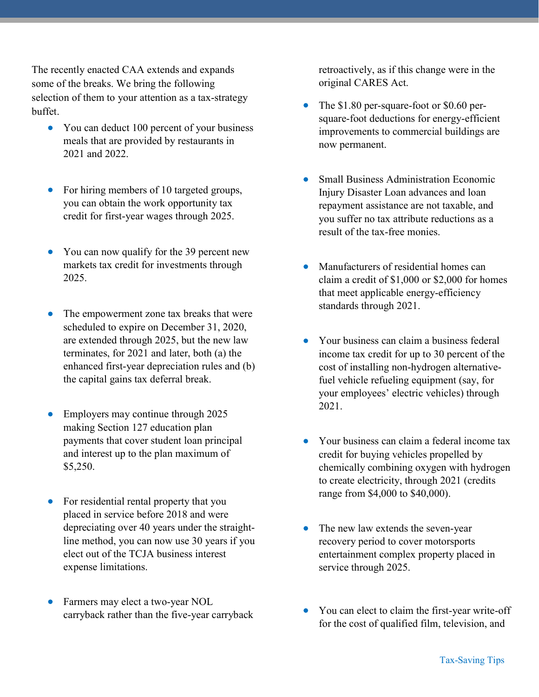The recently enacted CAA extends and expands some of the breaks. We bring the following selection of them to your attention as a tax-strategy buffet.

- You can deduct 100 percent of your business meals that are provided by restaurants in 2021 and 2022.
- For hiring members of 10 targeted groups, you can obtain the work opportunity tax credit for first-year wages through 2025.
- You can now qualify for the 39 percent new markets tax credit for investments through 2025.
- The empowerment zone tax breaks that were scheduled to expire on December 31, 2020, are extended through 2025, but the new law terminates, for 2021 and later, both (a) the enhanced first-year depreciation rules and (b) the capital gains tax deferral break.
- Employers may continue through 2025 making Section 127 education plan payments that cover student loan principal and interest up to the plan maximum of \$5,250.
- For residential rental property that you placed in service before 2018 and were depreciating over 40 years under the straightline method, you can now use 30 years if you elect out of the TCJA business interest expense limitations.
- Farmers may elect a two-year NOL carryback rather than the five-year carryback

retroactively, as if this change were in the original CARES Act.

- The \$1.80 per-square-foot or \$0.60 persquare-foot deductions for energy-efficient improvements to commercial buildings are now permanent.
- Small Business Administration Economic Injury Disaster Loan advances and loan repayment assistance are not taxable, and you suffer no tax attribute reductions as a result of the tax-free monies.
- Manufacturers of residential homes can claim a credit of \$1,000 or \$2,000 for homes that meet applicable energy-efficiency standards through 2021.
- Your business can claim a business federal income tax credit for up to 30 percent of the cost of installing non-hydrogen alternativefuel vehicle refueling equipment (say, for your employees' electric vehicles) through 2021.
- Your business can claim a federal income tax credit for buying vehicles propelled by chemically combining oxygen with hydrogen to create electricity, through 2021 (credits range from \$4,000 to \$40,000).
- The new law extends the seven-year recovery period to cover motorsports entertainment complex property placed in service through 2025.
- You can elect to claim the first-year write-off for the cost of qualified film, television, and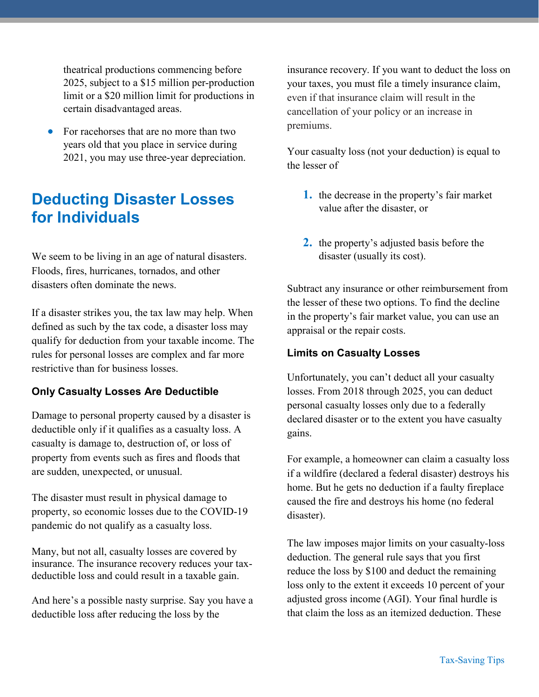theatrical productions commencing before 2025, subject to a \$15 million per-production limit or a \$20 million limit for productions in certain disadvantaged areas.

 For racehorses that are no more than two years old that you place in service during 2021, you may use three-year depreciation.

### Deducting Disaster Losses for Individuals

We seem to be living in an age of natural disasters. Floods, fires, hurricanes, tornados, and other disasters often dominate the news.

If a disaster strikes you, the tax law may help. When defined as such by the tax code, a disaster loss may qualify for deduction from your taxable income. The rules for personal losses are complex and far more restrictive than for business losses.

#### Only Casualty Losses Are Deductible

Damage to personal property caused by a disaster is deductible only if it qualifies as a casualty loss. A casualty is damage to, destruction of, or loss of property from events such as fires and floods that are sudden, unexpected, or unusual.

The disaster must result in physical damage to property, so economic losses due to the COVID-19 pandemic do not qualify as a casualty loss.

Many, but not all, casualty losses are covered by insurance. The insurance recovery reduces your taxdeductible loss and could result in a taxable gain.

And here's a possible nasty surprise. Say you have a deductible loss after reducing the loss by the

insurance recovery. If you want to deduct the loss on your taxes, you must file a timely insurance claim, even if that insurance claim will result in the cancellation of your policy or an increase in premiums.

Your casualty loss (not your deduction) is equal to the lesser of

- 1. the decrease in the property's fair market value after the disaster, or
- 2. the property's adjusted basis before the disaster (usually its cost).

Subtract any insurance or other reimbursement from the lesser of these two options. To find the decline in the property's fair market value, you can use an appraisal or the repair costs.

#### Limits on Casualty Losses

Unfortunately, you can't deduct all your casualty losses. From 2018 through 2025, you can deduct personal casualty losses only due to a federally declared disaster or to the extent you have casualty gains.

For example, a homeowner can claim a casualty loss if a wildfire (declared a federal disaster) destroys his home. But he gets no deduction if a faulty fireplace caused the fire and destroys his home (no federal disaster).

The law imposes major limits on your casualty-loss deduction. The general rule says that you first reduce the loss by \$100 and deduct the remaining loss only to the extent it exceeds 10 percent of your adjusted gross income (AGI). Your final hurdle is that claim the loss as an itemized deduction. These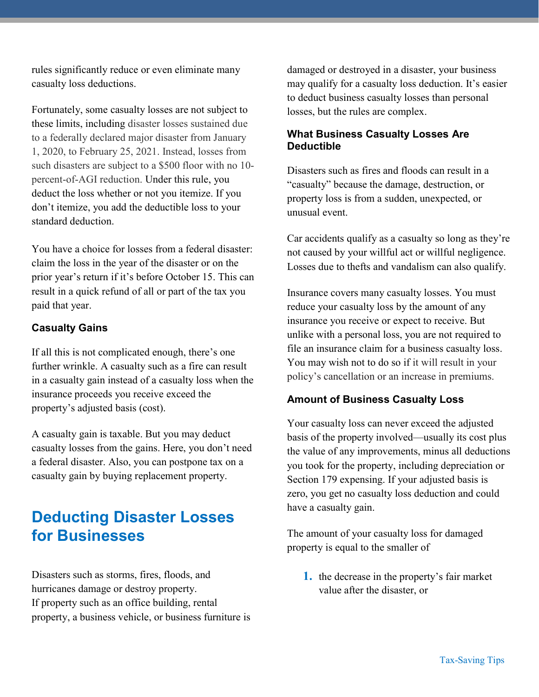rules significantly reduce or even eliminate many casualty loss deductions.

Fortunately, some casualty losses are not subject to these limits, including disaster losses sustained due to a federally declared major disaster from January 1, 2020, to February 25, 2021. Instead, losses from such disasters are subject to a \$500 floor with no 10 percent-of-AGI reduction. Under this rule, you deduct the loss whether or not you itemize. If you don't itemize, you add the deductible loss to your standard deduction.

You have a choice for losses from a federal disaster: claim the loss in the year of the disaster or on the prior year's return if it's before October 15. This can result in a quick refund of all or part of the tax you paid that year.

#### Casualty Gains

If all this is not complicated enough, there's one further wrinkle. A casualty such as a fire can result in a casualty gain instead of a casualty loss when the insurance proceeds you receive exceed the property's adjusted basis (cost).

A casualty gain is taxable. But you may deduct casualty losses from the gains. Here, you don't need a federal disaster. Also, you can postpone tax on a casualty gain by buying replacement property.

## Deducting Disaster Losses for Businesses

Disasters such as storms, fires, floods, and hurricanes damage or destroy property. If property such as an office building, rental property, a business vehicle, or business furniture is damaged or destroyed in a disaster, your business may qualify for a casualty loss deduction. It's easier to deduct business casualty losses than personal losses, but the rules are complex.

#### What Business Casualty Losses Are Deductible

Disasters such as fires and floods can result in a "casualty" because the damage, destruction, or property loss is from a sudden, unexpected, or unusual event.

Car accidents qualify as a casualty so long as they're not caused by your willful act or willful negligence. Losses due to thefts and vandalism can also qualify.

Insurance covers many casualty losses. You must reduce your casualty loss by the amount of any insurance you receive or expect to receive. But unlike with a personal loss, you are not required to file an insurance claim for a business casualty loss. You may wish not to do so if it will result in your policy's cancellation or an increase in premiums.

#### Amount of Business Casualty Loss

Your casualty loss can never exceed the adjusted basis of the property involved—usually its cost plus the value of any improvements, minus all deductions you took for the property, including depreciation or Section 179 expensing. If your adjusted basis is zero, you get no casualty loss deduction and could have a casualty gain.

The amount of your casualty loss for damaged property is equal to the smaller of

1. the decrease in the property's fair market value after the disaster, or